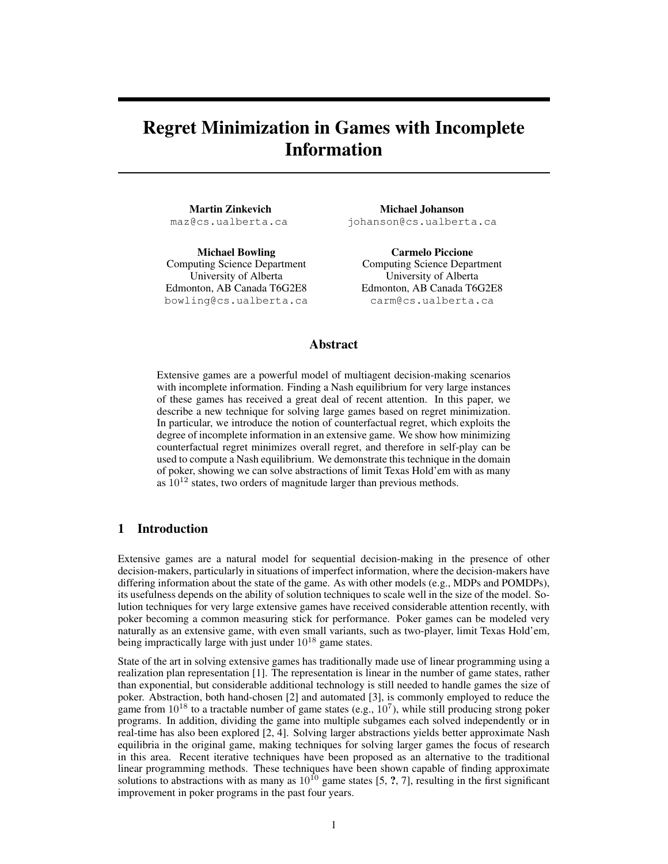# Regret Minimization in Games with Incomplete Information

Martin Zinkevich maz@cs.ualberta.ca

Michael Bowling Computing Science Department University of Alberta Edmonton, AB Canada T6G2E8 bowling@cs.ualberta.ca

Michael Johanson johanson@cs.ualberta.ca

Carmelo Piccione Computing Science Department University of Alberta Edmonton, AB Canada T6G2E8 carm@cs.ualberta.ca

# Abstract

Extensive games are a powerful model of multiagent decision-making scenarios with incomplete information. Finding a Nash equilibrium for very large instances of these games has received a great deal of recent attention. In this paper, we describe a new technique for solving large games based on regret minimization. In particular, we introduce the notion of counterfactual regret, which exploits the degree of incomplete information in an extensive game. We show how minimizing counterfactual regret minimizes overall regret, and therefore in self-play can be used to compute a Nash equilibrium. We demonstrate this technique in the domain of poker, showing we can solve abstractions of limit Texas Hold'em with as many as  $10^{12}$  states, two orders of magnitude larger than previous methods.

# 1 Introduction

Extensive games are a natural model for sequential decision-making in the presence of other decision-makers, particularly in situations of imperfect information, where the decision-makers have differing information about the state of the game. As with other models (e.g., MDPs and POMDPs), its usefulness depends on the ability of solution techniques to scale well in the size of the model. Solution techniques for very large extensive games have received considerable attention recently, with poker becoming a common measuring stick for performance. Poker games can be modeled very naturally as an extensive game, with even small variants, such as two-player, limit Texas Hold'em, being impractically large with just under  $10^{18}$  game states.

State of the art in solving extensive games has traditionally made use of linear programming using a realization plan representation [1]. The representation is linear in the number of game states, rather than exponential, but considerable additional technology is still needed to handle games the size of poker. Abstraction, both hand-chosen [2] and automated [3], is commonly employed to reduce the game from  $10^{18}$  to a tractable number of game states (e.g.,  $10^7$ ), while still producing strong poker programs. In addition, dividing the game into multiple subgames each solved independently or in real-time has also been explored [2, 4]. Solving larger abstractions yields better approximate Nash equilibria in the original game, making techniques for solving larger games the focus of research in this area. Recent iterative techniques have been proposed as an alternative to the traditional linear programming methods. These techniques have been shown capable of finding approximate solutions to abstractions with as many as  $10^{10}$  game states [5, ?, 7], resulting in the first significant improvement in poker programs in the past four years.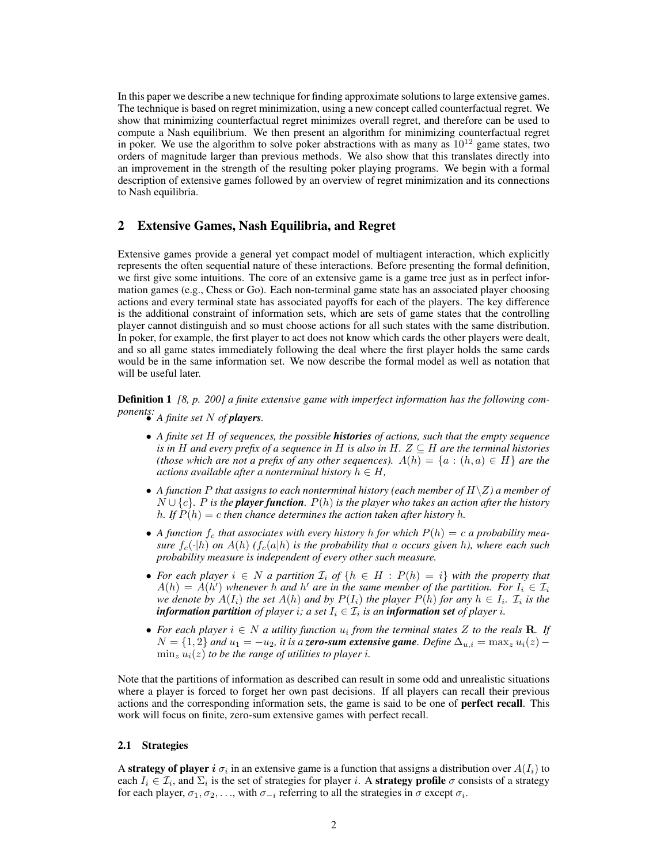In this paper we describe a new technique for finding approximate solutions to large extensive games. The technique is based on regret minimization, using a new concept called counterfactual regret. We show that minimizing counterfactual regret minimizes overall regret, and therefore can be used to compute a Nash equilibrium. We then present an algorithm for minimizing counterfactual regret in poker. We use the algorithm to solve poker abstractions with as many as  $10^{12}$  game states, two orders of magnitude larger than previous methods. We also show that this translates directly into an improvement in the strength of the resulting poker playing programs. We begin with a formal description of extensive games followed by an overview of regret minimization and its connections to Nash equilibria.

# 2 Extensive Games, Nash Equilibria, and Regret

Extensive games provide a general yet compact model of multiagent interaction, which explicitly represents the often sequential nature of these interactions. Before presenting the formal definition, we first give some intuitions. The core of an extensive game is a game tree just as in perfect information games (e.g., Chess or Go). Each non-terminal game state has an associated player choosing actions and every terminal state has associated payoffs for each of the players. The key difference is the additional constraint of information sets, which are sets of game states that the controlling player cannot distinguish and so must choose actions for all such states with the same distribution. In poker, for example, the first player to act does not know which cards the other players were dealt, and so all game states immediately following the deal where the first player holds the same cards would be in the same information set. We now describe the formal model as well as notation that will be useful later.

Definition 1 *[8, p. 200] a finite extensive game with imperfect information has the following components:* • *A finite set* N *of players.*

- *A finite set* H *of sequences, the possible histories of actions, such that the empty sequence is in* H *and every prefix of a sequence in* H *is also in* H.  $Z \subseteq H$  *are the terminal histories (those which are not a prefix of any other sequences).*  $A(h) = \{a : (h, a) \in H\}$  *are the actions available after a nonterminal history*  $h \in H$ ,
- A function P that assigns to each nonterminal history (each member of  $H\setminus Z$ ) a member of N ∪ {c}*.* P *is the player function.* P(h) *is the player who takes an action after the history h.* If  $P(h) = c$  then chance determines the action taken after history h.
- A function  $f_c$  that associates with every history h for which  $P(h) = c$  a probability mea*sure*  $f_c(\cdot|h)$  *on*  $A(h)$  ( $f_c(a|h)$  *is the probability that* a *occurs given* h, where each such *probability measure is independent of every other such measure.*
- For each player  $i \in N$  a partition  $\mathcal{I}_i$  of  $\{h \in H : P(h) = i\}$  with the property that  $A(h) = \overline{A(h')}$  whenever h and h' are in the same member of the partition. For  $I_i \in \mathcal{I}_i$ *we denote by*  $A(I_i)$  *the set*  $A(h)$  *and by*  $P(I_i)$  *the player*  $P(h)$  *for any*  $h \in I_i$ *.*  $\mathcal{I}_i$  *is the information partition of player i; a set*  $I_i \in \mathcal{I}_i$  *is an information set of player i.*
- For each player  $i \in N$  a utility function  $u_i$  from the terminal states Z to the reals **R**. If  $N = \{1, 2\}$  and  $u_1 = -u_2$ , it is a zero-sum extensive game. Define  $\Delta_{u,i} = \max_z u_i(z) - \Delta_{u,i}$  $\min_z u_i(z)$  *to be the range of utilities to player i.*

Note that the partitions of information as described can result in some odd and unrealistic situations where a player is forced to forget her own past decisions. If all players can recall their previous actions and the corresponding information sets, the game is said to be one of perfect recall. This work will focus on finite, zero-sum extensive games with perfect recall.

#### 2.1 Strategies

A strategy of player i  $\sigma_i$  in an extensive game is a function that assigns a distribution over  $A(I_i)$  to each  $I_i \in \mathcal{I}_i$ , and  $\Sigma_i$  is the set of strategies for player i. A **strategy profile**  $\sigma$  consists of a strategy for each player,  $\sigma_1, \sigma_2, \ldots$ , with  $\sigma_{-i}$  referring to all the strategies in  $\sigma$  except  $\sigma_i$ .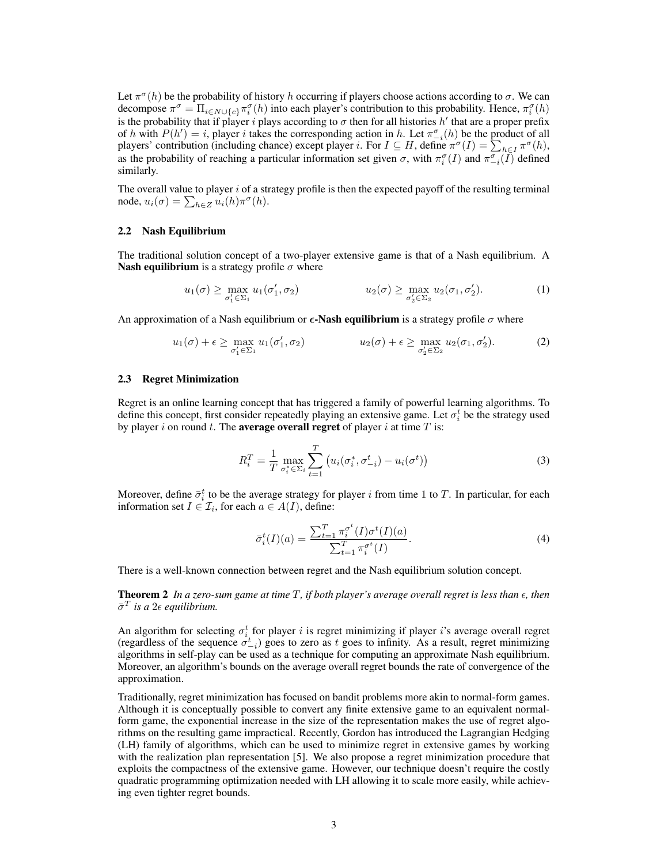Let  $\pi^{\sigma}(h)$  be the probability of history h occurring if players choose actions according to  $\sigma$ . We can decompose  $\pi^{\sigma} = \Pi_{i \in N \cup \{c\}} \pi_i^{\sigma}(h)$  into each player's contribution to this probability. Hence,  $\pi_i^{\sigma}(h)$ is the probability that if player i plays according to  $\sigma$  then for all histories h' that are a proper prefix of h with  $P(h') = i$ , player i takes the corresponding action in h. Let  $\pi_{-i}^{\sigma}(h)$  be the product of all players' contribution (including chance) except player *i*. For  $I \subseteq H$ , define  $\pi^{\sigma}(I) = \sum_{h \in I} \pi^{\sigma}(h)$ , as the probability of reaching a particular information set given  $\sigma$ , with  $\pi_i^{\sigma}(I)$  and  $\pi_{-i}^{\sigma}(I)$  defined similarly.

The overall value to player  $i$  of a strategy profile is then the expected payoff of the resulting terminal node,  $u_i(\sigma) = \sum_{h \in \mathbb{Z}} u_i(h) \pi^{\sigma}(h)$ .

### 2.2 Nash Equilibrium

The traditional solution concept of a two-player extensive game is that of a Nash equilibrium. A **Nash equilibrium** is a strategy profile  $\sigma$  where

$$
u_1(\sigma) \ge \max_{\sigma_1' \in \Sigma_1} u_1(\sigma_1', \sigma_2) \qquad u_2(\sigma) \ge \max_{\sigma_2' \in \Sigma_2} u_2(\sigma_1, \sigma_2'). \tag{1}
$$

An approximation of a Nash equilibrium or  $\epsilon$ -Nash equilibrium is a strategy profile  $\sigma$  where

$$
u_1(\sigma) + \epsilon \ge \max_{\sigma_1' \in \Sigma_1} u_1(\sigma_1', \sigma_2) \qquad u_2(\sigma) + \epsilon \ge \max_{\sigma_2' \in \Sigma_2} u_2(\sigma_1, \sigma_2'). \qquad (2)
$$

#### 2.3 Regret Minimization

Regret is an online learning concept that has triggered a family of powerful learning algorithms. To define this concept, first consider repeatedly playing an extensive game. Let  $\sigma_i^t$  be the strategy used by player i on round t. The **average overall regret** of player i at time  $T$  is:

$$
R_i^T = \frac{1}{T} \max_{\sigma_i^* \in \Sigma_i} \sum_{t=1}^T \left( u_i(\sigma_i^*, \sigma_{-i}^t) - u_i(\sigma^t) \right)
$$
(3)

Moreover, define  $\bar{\sigma}_i^t$  to be the average strategy for player i from time 1 to T. In particular, for each information set  $I \in \mathcal{I}_i$ , for each  $a \in A(I)$ , define:

$$
\bar{\sigma}_i^t(I)(a) = \frac{\sum_{t=1}^T \pi_i^{\sigma^t}(I)\sigma^t(I)(a)}{\sum_{t=1}^T \pi_i^{\sigma^t}(I)}.
$$
\n(4)

There is a well-known connection between regret and the Nash equilibrium solution concept.

**Theorem 2** In a zero-sum game at time  $T$ , if both player's average overall regret is less than  $\epsilon$ , then  $\bar{\sigma}^T$  is a  $2\epsilon$  equilibrium.

An algorithm for selecting  $\sigma_i^t$  for player i is regret minimizing if player i's average overall regret (regardless of the sequence  $\sigma_{-i}^t$ ) goes to zero as t goes to infinity. As a result, regret minimizing algorithms in self-play can be used as a technique for computing an approximate Nash equilibrium. Moreover, an algorithm's bounds on the average overall regret bounds the rate of convergence of the approximation.

Traditionally, regret minimization has focused on bandit problems more akin to normal-form games. Although it is conceptually possible to convert any finite extensive game to an equivalent normalform game, the exponential increase in the size of the representation makes the use of regret algorithms on the resulting game impractical. Recently, Gordon has introduced the Lagrangian Hedging (LH) family of algorithms, which can be used to minimize regret in extensive games by working with the realization plan representation [5]. We also propose a regret minimization procedure that exploits the compactness of the extensive game. However, our technique doesn't require the costly quadratic programming optimization needed with LH allowing it to scale more easily, while achieving even tighter regret bounds.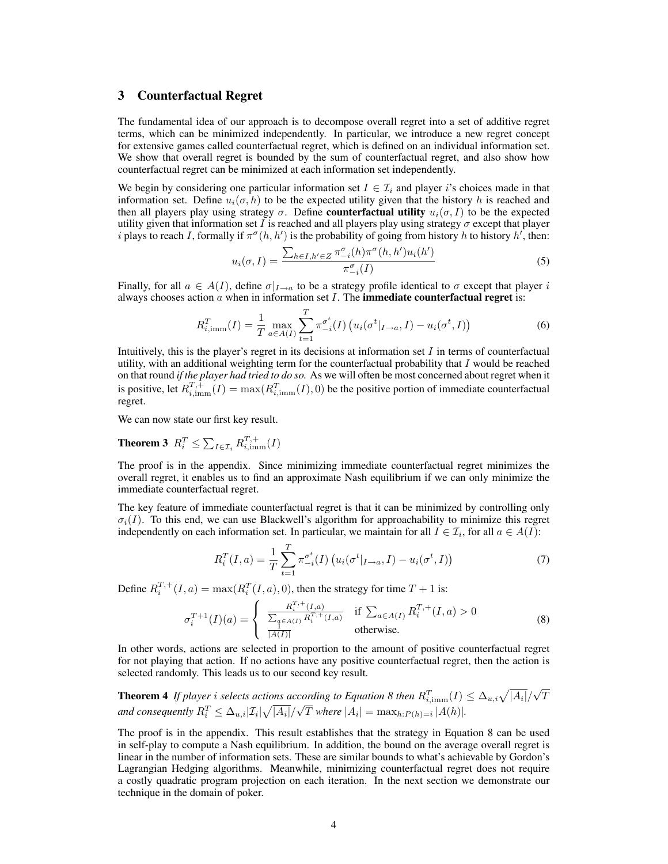# 3 Counterfactual Regret

The fundamental idea of our approach is to decompose overall regret into a set of additive regret terms, which can be minimized independently. In particular, we introduce a new regret concept for extensive games called counterfactual regret, which is defined on an individual information set. We show that overall regret is bounded by the sum of counterfactual regret, and also show how counterfactual regret can be minimized at each information set independently.

We begin by considering one particular information set  $I \in \mathcal{I}_i$  and player i's choices made in that information set. Define  $u_i(\sigma, h)$  to be the expected utility given that the history h is reached and then all players play using strategy  $\sigma$ . Define **counterfactual utility**  $u_i(\sigma, I)$  to be the expected utility given that information set I is reached and all players play using strategy  $\sigma$  except that player *i* plays to reach I, formally if  $\pi^{\sigma}(h, h')$  is the probability of going from history h to history h', then:

$$
u_i(\sigma, I) = \frac{\sum_{h \in I, h' \in Z} \pi_{-i}^{\sigma}(h) \pi^{\sigma}(h, h') u_i(h')}{\pi_{-i}^{\sigma}(I)} \tag{5}
$$

Finally, for all  $a \in A(I)$ , define  $\sigma|_{I\to a}$  to be a strategy profile identical to  $\sigma$  except that player i always chooses action  $\alpha$  when in information set  $I$ . The **immediate counterfactual regret** is:

$$
R_{i,\text{imm}}^T(I) = \frac{1}{T} \max_{a \in A(I)} \sum_{t=1}^T \pi_{-i}^{\sigma^t}(I) \left( u_i(\sigma^t |_{I \to a}, I) - u_i(\sigma^t, I) \right) \tag{6}
$$

Intuitively, this is the player's regret in its decisions at information set  $I$  in terms of counterfactual utility, with an additional weighting term for the counterfactual probability that  $I$  would be reached on that round *if the player had tried to do so.* As we will often be most concerned about regret when it is positive, let  $R_{i, \text{imm}}^{T,+}(I) = \max(R_{i, \text{imm}}^T(I), 0)$  be the positive portion of immediate counterfactual regret.

We can now state our first key result.

**Theorem 3**  $R_i^T \le \sum_{I \in \mathcal{I}_i} R_{i,\text{imm}}^{T,+}(I)$ 

The proof is in the appendix. Since minimizing immediate counterfactual regret minimizes the overall regret, it enables us to find an approximate Nash equilibrium if we can only minimize the immediate counterfactual regret.

The key feature of immediate counterfactual regret is that it can be minimized by controlling only  $\sigma_i(I)$ . To this end, we can use Blackwell's algorithm for approachability to minimize this regret independently on each information set. In particular, we maintain for all  $I \in \mathcal{I}_i$ , for all  $a \in A(I)$ :

$$
R_i^T(I, a) = \frac{1}{T} \sum_{t=1}^T \pi_{-i}^{\sigma^t}(I) \left( u_i(\sigma^t |_{I \to a}, I) - u_i(\sigma^t, I) \right)
$$
(7)

Define  $R_i^{T,+}(I,a) = \max(R_i^{T}(I,a), 0)$ , then the strategy for time  $T + 1$  is:

$$
\sigma_i^{T+1}(I)(a) = \begin{cases} \frac{R_i^{T,+}(I,a)}{\sum_{a \in A(I)} R_i^{T,+}(I,a)} & \text{if } \sum_{a \in A(I)} R_i^{T,+}(I,a) > 0\\ \frac{1}{|A(I)|} & \text{otherwise.} \end{cases}
$$
(8)

In other words, actions are selected in proportion to the amount of positive counterfactual regret for not playing that action. If no actions have any positive counterfactual regret, then the action is selected randomly. This leads us to our second key result.

**Theorem 4** If player i selects actions according to Equation 8 then  $R_{i,\text{imm}}^T(I) \leq \Delta_{u,i}\sqrt{|A_i|}/n$ √ cording to Equation 8 then  $R_{i,\text{imm}}^T(I) \leq \Delta_{u,i}\sqrt{|A_i|}/\sqrt{T}$ and consequently  $R_i^T \leq \Delta_{u,i} |\mathcal{I}_i| \sqrt{|A_i|}/\sqrt{T}$  where  $|A_i| = \max_{h:P(h)=i} |A(h)|$ .

The proof is in the appendix. This result establishes that the strategy in Equation 8 can be used in self-play to compute a Nash equilibrium. In addition, the bound on the average overall regret is linear in the number of information sets. These are similar bounds to what's achievable by Gordon's Lagrangian Hedging algorithms. Meanwhile, minimizing counterfactual regret does not require a costly quadratic program projection on each iteration. In the next section we demonstrate our technique in the domain of poker.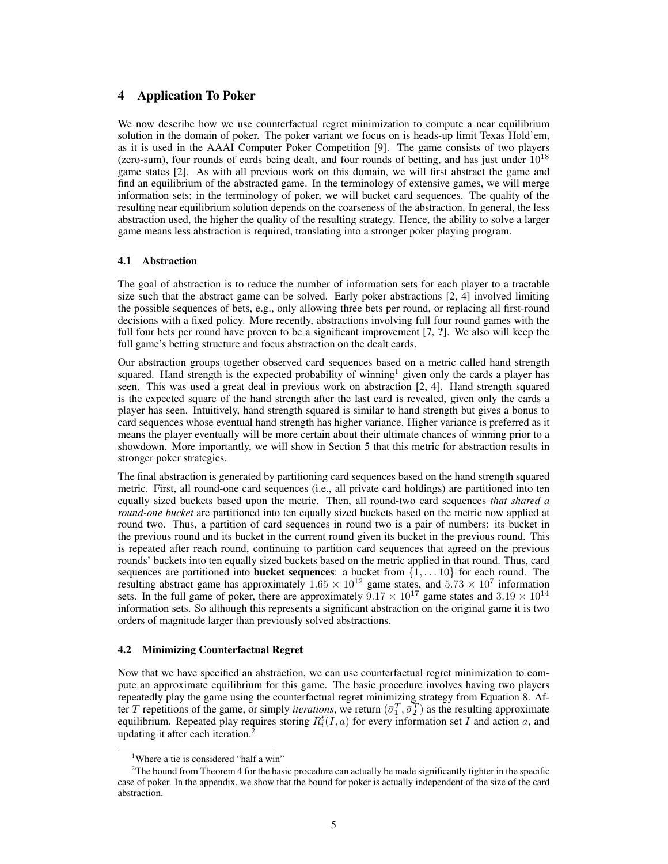# 4 Application To Poker

We now describe how we use counterfactual regret minimization to compute a near equilibrium solution in the domain of poker. The poker variant we focus on is heads-up limit Texas Hold'em, as it is used in the AAAI Computer Poker Competition [9]. The game consists of two players (zero-sum), four rounds of cards being dealt, and four rounds of betting, and has just under  $10^{18}$ game states [2]. As with all previous work on this domain, we will first abstract the game and find an equilibrium of the abstracted game. In the terminology of extensive games, we will merge information sets; in the terminology of poker, we will bucket card sequences. The quality of the resulting near equilibrium solution depends on the coarseness of the abstraction. In general, the less abstraction used, the higher the quality of the resulting strategy. Hence, the ability to solve a larger game means less abstraction is required, translating into a stronger poker playing program.

## 4.1 Abstraction

The goal of abstraction is to reduce the number of information sets for each player to a tractable size such that the abstract game can be solved. Early poker abstractions [2, 4] involved limiting the possible sequences of bets, e.g., only allowing three bets per round, or replacing all first-round decisions with a fixed policy. More recently, abstractions involving full four round games with the full four bets per round have proven to be a significant improvement  $[7, ?]$ . We also will keep the full game's betting structure and focus abstraction on the dealt cards.

Our abstraction groups together observed card sequences based on a metric called hand strength squared. Hand strength is the expected probability of winning<sup>1</sup> given only the cards a player has seen. This was used a great deal in previous work on abstraction [2, 4]. Hand strength squared is the expected square of the hand strength after the last card is revealed, given only the cards a player has seen. Intuitively, hand strength squared is similar to hand strength but gives a bonus to card sequences whose eventual hand strength has higher variance. Higher variance is preferred as it means the player eventually will be more certain about their ultimate chances of winning prior to a showdown. More importantly, we will show in Section 5 that this metric for abstraction results in stronger poker strategies.

The final abstraction is generated by partitioning card sequences based on the hand strength squared metric. First, all round-one card sequences (i.e., all private card holdings) are partitioned into ten equally sized buckets based upon the metric. Then, all round-two card sequences *that shared a round-one bucket* are partitioned into ten equally sized buckets based on the metric now applied at round two. Thus, a partition of card sequences in round two is a pair of numbers: its bucket in the previous round and its bucket in the current round given its bucket in the previous round. This is repeated after reach round, continuing to partition card sequences that agreed on the previous rounds' buckets into ten equally sized buckets based on the metric applied in that round. Thus, card sequences are partitioned into **bucket sequences**: a bucket from  $\{1, \ldots 10\}$  for each round. The resulting abstract game has approximately  $1.65 \times 10^{12}$  game states, and  $5.73 \times 10^{7}$  information sets. In the full game of poker, there are approximately  $9.17 \times 10^{17}$  game states and  $3.19 \times 10^{14}$ information sets. So although this represents a significant abstraction on the original game it is two orders of magnitude larger than previously solved abstractions.

#### 4.2 Minimizing Counterfactual Regret

Now that we have specified an abstraction, we can use counterfactual regret minimization to compute an approximate equilibrium for this game. The basic procedure involves having two players repeatedly play the game using the counterfactual regret minimizing strategy from Equation 8. After T repetitions of the game, or simply *iterations*, we return  $(\bar{\sigma}_1^T, \bar{\sigma}_2^T)$  as the resulting approximate equilibrium. Repeated play requires storing  $R_i^t(I, a)$  for every information set I and action a, and updating it after each iteration.<sup>2</sup>

<sup>&</sup>lt;sup>1</sup>Where a tie is considered "half a win"

<sup>&</sup>lt;sup>2</sup>The bound from Theorem 4 for the basic procedure can actually be made significantly tighter in the specific case of poker. In the appendix, we show that the bound for poker is actually independent of the size of the card abstraction.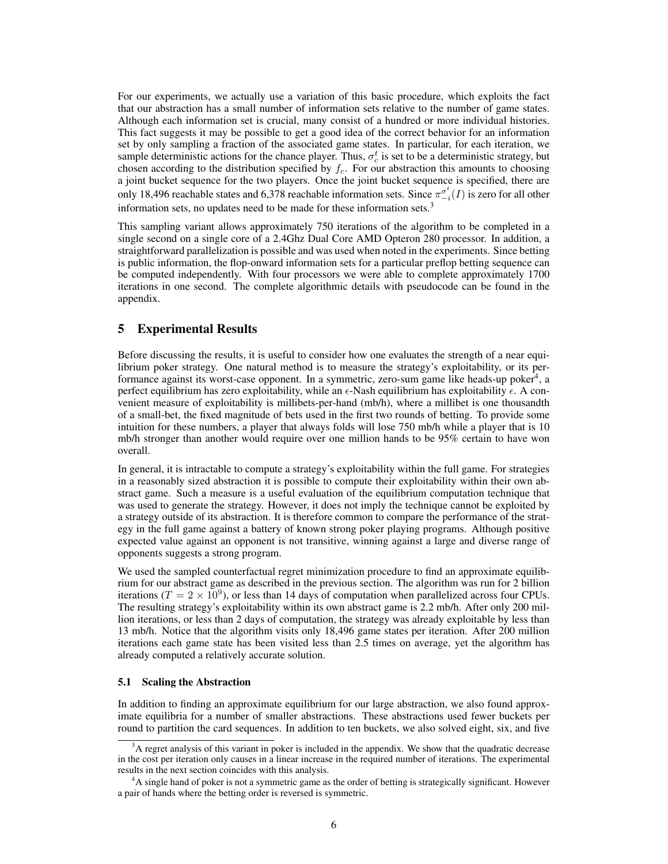For our experiments, we actually use a variation of this basic procedure, which exploits the fact that our abstraction has a small number of information sets relative to the number of game states. Although each information set is crucial, many consist of a hundred or more individual histories. This fact suggests it may be possible to get a good idea of the correct behavior for an information set by only sampling a fraction of the associated game states. In particular, for each iteration, we sample deterministic actions for the chance player. Thus,  $\sigma_c^t$  is set to be a deterministic strategy, but chosen according to the distribution specified by  $f_c$ . For our abstraction this amounts to choosing a joint bucket sequence for the two players. Once the joint bucket sequence is specified, there are only 18,496 reachable states and 6,378 reachable information sets. Since  $\pi_{-i}^{\sigma_t^t}(I)$  is zero for all other information sets, no updates need to be made for these information sets.<sup>3</sup>

This sampling variant allows approximately 750 iterations of the algorithm to be completed in a single second on a single core of a 2.4Ghz Dual Core AMD Opteron 280 processor. In addition, a straightforward parallelization is possible and was used when noted in the experiments. Since betting is public information, the flop-onward information sets for a particular preflop betting sequence can be computed independently. With four processors we were able to complete approximately 1700 iterations in one second. The complete algorithmic details with pseudocode can be found in the appendix.

# 5 Experimental Results

Before discussing the results, it is useful to consider how one evaluates the strength of a near equilibrium poker strategy. One natural method is to measure the strategy's exploitability, or its performance against its worst-case opponent. In a symmetric, zero-sum game like heads-up poker<sup>4</sup>, a perfect equilibrium has zero exploitability, while an  $\epsilon$ -Nash equilibrium has exploitability  $\epsilon$ . A convenient measure of exploitability is millibets-per-hand (mb/h), where a millibet is one thousandth of a small-bet, the fixed magnitude of bets used in the first two rounds of betting. To provide some intuition for these numbers, a player that always folds will lose 750 mb/h while a player that is 10 mb/h stronger than another would require over one million hands to be 95% certain to have won overall.

In general, it is intractable to compute a strategy's exploitability within the full game. For strategies in a reasonably sized abstraction it is possible to compute their exploitability within their own abstract game. Such a measure is a useful evaluation of the equilibrium computation technique that was used to generate the strategy. However, it does not imply the technique cannot be exploited by a strategy outside of its abstraction. It is therefore common to compare the performance of the strategy in the full game against a battery of known strong poker playing programs. Although positive expected value against an opponent is not transitive, winning against a large and diverse range of opponents suggests a strong program.

We used the sampled counterfactual regret minimization procedure to find an approximate equilibrium for our abstract game as described in the previous section. The algorithm was run for 2 billion iterations ( $T = 2 \times 10^9$ ), or less than 14 days of computation when parallelized across four CPUs. The resulting strategy's exploitability within its own abstract game is 2.2 mb/h. After only 200 million iterations, or less than 2 days of computation, the strategy was already exploitable by less than 13 mb/h. Notice that the algorithm visits only 18,496 game states per iteration. After 200 million iterations each game state has been visited less than 2.5 times on average, yet the algorithm has already computed a relatively accurate solution.

#### 5.1 Scaling the Abstraction

In addition to finding an approximate equilibrium for our large abstraction, we also found approximate equilibria for a number of smaller abstractions. These abstractions used fewer buckets per round to partition the card sequences. In addition to ten buckets, we also solved eight, six, and five

 $3A$  regret analysis of this variant in poker is included in the appendix. We show that the quadratic decrease in the cost per iteration only causes in a linear increase in the required number of iterations. The experimental results in the next section coincides with this analysis.

<sup>&</sup>lt;sup>4</sup>A single hand of poker is not a symmetric game as the order of betting is strategically significant. However a pair of hands where the betting order is reversed is symmetric.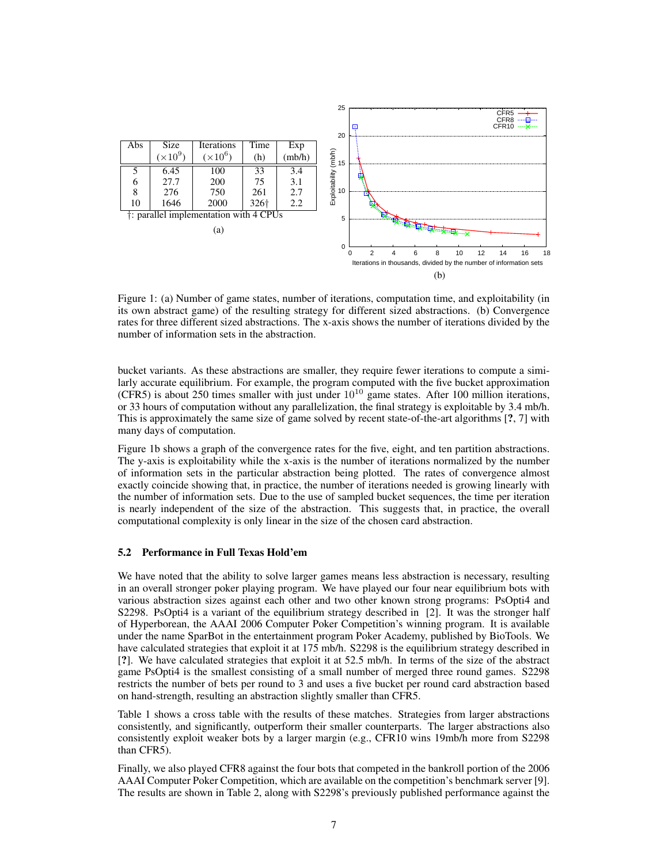

Figure 1: (a) Number of game states, number of iterations, computation time, and exploitability (in its own abstract game) of the resulting strategy for different sized abstractions. (b) Convergence rates for three different sized abstractions. The x-axis shows the number of iterations divided by the number of information sets in the abstraction.

bucket variants. As these abstractions are smaller, they require fewer iterations to compute a similarly accurate equilibrium. For example, the program computed with the five bucket approximation (CFR5) is about 250 times smaller with just under  $10^{10}$  game states. After 100 million iterations, or 33 hours of computation without any parallelization, the final strategy is exploitable by 3.4 mb/h. This is approximately the same size of game solved by recent state-of-the-art algorithms [?, 7] with many days of computation.

Figure 1b shows a graph of the convergence rates for the five, eight, and ten partition abstractions. The y-axis is exploitability while the x-axis is the number of iterations normalized by the number of information sets in the particular abstraction being plotted. The rates of convergence almost exactly coincide showing that, in practice, the number of iterations needed is growing linearly with the number of information sets. Due to the use of sampled bucket sequences, the time per iteration is nearly independent of the size of the abstraction. This suggests that, in practice, the overall computational complexity is only linear in the size of the chosen card abstraction.

#### 5.2 Performance in Full Texas Hold'em

We have noted that the ability to solve larger games means less abstraction is necessary, resulting in an overall stronger poker playing program. We have played our four near equilibrium bots with various abstraction sizes against each other and two other known strong programs: PsOpti4 and S2298. PsOpti4 is a variant of the equilibrium strategy described in [2]. It was the stronger half of Hyperborean, the AAAI 2006 Computer Poker Competition's winning program. It is available under the name SparBot in the entertainment program Poker Academy, published by BioTools. We have calculated strategies that exploit it at 175 mb/h. S2298 is the equilibrium strategy described in [?]. We have calculated strategies that exploit it at 52.5 mb/h. In terms of the size of the abstract game PsOpti4 is the smallest consisting of a small number of merged three round games. S2298 restricts the number of bets per round to 3 and uses a five bucket per round card abstraction based on hand-strength, resulting an abstraction slightly smaller than CFR5.

Table 1 shows a cross table with the results of these matches. Strategies from larger abstractions consistently, and significantly, outperform their smaller counterparts. The larger abstractions also consistently exploit weaker bots by a larger margin (e.g., CFR10 wins 19mb/h more from S2298 than CFR5).

Finally, we also played CFR8 against the four bots that competed in the bankroll portion of the 2006 AAAI Computer Poker Competition, which are available on the competition's benchmark server [9]. The results are shown in Table 2, along with S2298's previously published performance against the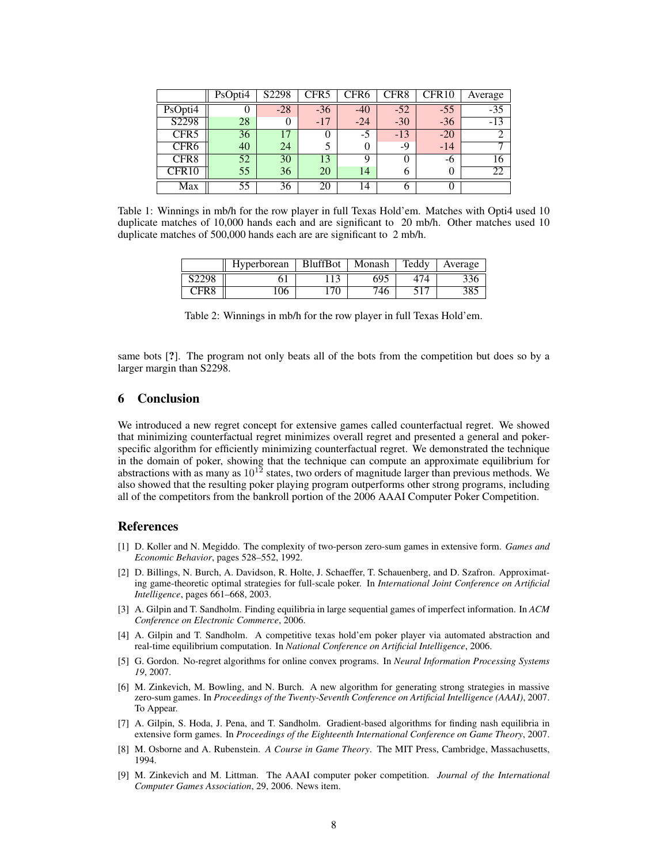|                   | PsOpti4 | S2298 | CFR5  | CFR6  | CFR8  | CFR10    | Average |
|-------------------|---------|-------|-------|-------|-------|----------|---------|
| PsOpti4           |         | $-28$ | $-36$ | -40   | $-52$ | $-55$    | $-35$   |
| S2298             | 28      | 0     | $-17$ | $-24$ | $-30$ | $-36$    | $-13$   |
| CFR <sub>5</sub>  | 36      | 17    | 0     | $-5$  | $-13$ | $-20$    |         |
| CFR <sub>6</sub>  | 40      | 24    |       |       | $-9$  | $-14$    | ⇁       |
| CFR <sub>8</sub>  | 52      | 30    | 13    | Q     |       | -6       | 16      |
| CFR <sub>10</sub> | 55      | 36    | 20    | 14    | 6     | $\theta$ | 22      |
| Max               | 55      | 36    | 20    | 14    |       |          |         |

Table 1: Winnings in mb/h for the row player in full Texas Hold'em. Matches with Opti4 used 10 duplicate matches of 10,000 hands each and are significant to 20 mb/h. Other matches used 10 duplicate matches of 500,000 hands each are are significant to 2 mb/h.

|                   | <b>Hyperborean</b> | <b>BluffBot</b> | Monash | Teddy | Average         |
|-------------------|--------------------|-----------------|--------|-------|-----------------|
| S <sub>2298</sub> |                    |                 | 695    |       |                 |
| CFR8              | 106                | 70              | 746    |       | 20 <sup>r</sup> |

same bots [?]. The program not only beats all of the bots from the competition but does so by a larger margin than S2298.

## 6 Conclusion

We introduced a new regret concept for extensive games called counterfactual regret. We showed that minimizing counterfactual regret minimizes overall regret and presented a general and pokerspecific algorithm for efficiently minimizing counterfactual regret. We demonstrated the technique in the domain of poker, showing that the technique can compute an approximate equilibrium for abstractions with as many as  $10^{12}$  states, two orders of magnitude larger than previous methods. We also showed that the resulting poker playing program outperforms other strong programs, including all of the competitors from the bankroll portion of the 2006 AAAI Computer Poker Competition.

# References

- [1] D. Koller and N. Megiddo. The complexity of two-person zero-sum games in extensive form. *Games and Economic Behavior*, pages 528–552, 1992.
- [2] D. Billings, N. Burch, A. Davidson, R. Holte, J. Schaeffer, T. Schauenberg, and D. Szafron. Approximating game-theoretic optimal strategies for full-scale poker. In *International Joint Conference on Artificial Intelligence*, pages 661–668, 2003.
- [3] A. Gilpin and T. Sandholm. Finding equilibria in large sequential games of imperfect information. In *ACM Conference on Electronic Commerce*, 2006.
- [4] A. Gilpin and T. Sandholm. A competitive texas hold'em poker player via automated abstraction and real-time equilibrium computation. In *National Conference on Artificial Intelligence*, 2006.
- [5] G. Gordon. No-regret algorithms for online convex programs. In *Neural Information Processing Systems 19*, 2007.
- [6] M. Zinkevich, M. Bowling, and N. Burch. A new algorithm for generating strong strategies in massive zero-sum games. In *Proceedings of the Twenty-Seventh Conference on Artificial Intelligence (AAAI)*, 2007. To Appear.
- [7] A. Gilpin, S. Hoda, J. Pena, and T. Sandholm. Gradient-based algorithms for finding nash equilibria in extensive form games. In *Proceedings of the Eighteenth International Conference on Game Theory*, 2007.
- [8] M. Osborne and A. Rubenstein. *A Course in Game Theory*. The MIT Press, Cambridge, Massachusetts, 1994.
- [9] M. Zinkevich and M. Littman. The AAAI computer poker competition. *Journal of the International Computer Games Association*, 29, 2006. News item.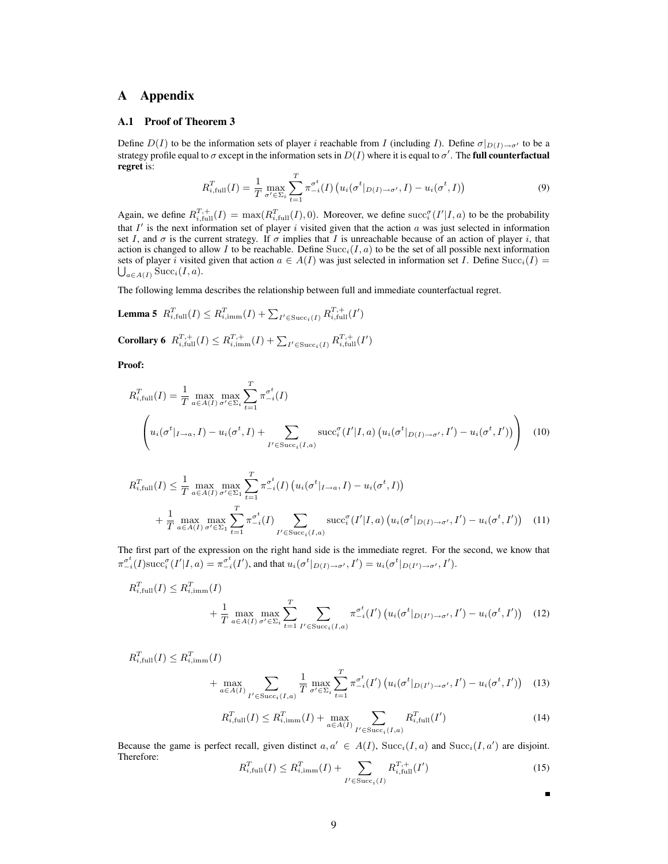# A Appendix

## A.1 Proof of Theorem 3

Define  $D(I)$  to be the information sets of player i reachable from I (including I). Define  $\sigma|_{D(I)\to\sigma'}$  to be a strategy profile equal to  $\sigma$  except in the information sets in  $D(I)$  where it is equal to  $\sigma'.$  The **full counterfactual** regret is:

$$
R_{i,\text{full}}^T(I) = \frac{1}{T} \max_{\sigma' \in \Sigma_i} \sum_{t=1}^T \pi_{-i}^{\sigma^t}(I) \left( u_i(\sigma^t|_{D(I) \to \sigma'}, I) - u_i(\sigma^t, I) \right)
$$
(9)

Again, we define  $R_{i,\text{full}}^{T,+}(I) = \max(R_{i,\text{full}}^T(I), 0)$ . Moreover, we define  $\text{succ}_i^{\sigma}(I'|I, a)$  to be the probability that  $I'$  is the next information set of player i visited given that the action a was just selected in information set I, and  $\sigma$  is the current strategy. If  $\sigma$  implies that I is unreachable because of an action of player i, that action is changed to allow I to be reachable. Define  $Succ_i(I, a)$  to be the set of all possible next information sets of player i visited given that action  $a \in A(I)$  was just selected in information set I. Define  $Succ_i(I)$  $\bigcup_{a \in A(I)} \text{Succ}_i(I, a)$ .

The following lemma describes the relationship between full and immediate counterfactual regret.

**Lemma 5** 
$$
R_{i,\text{full}}^T(I) \leq R_{i,\text{imm}}^T(I) + \sum_{I' \in \text{Succ}_i(I)} R_{i,\text{full}}^{T,+}(I')
$$

**Corollary 6**  $R_{i,\text{full}}^{T,+}(I) \leq R_{i,\text{imm}}^{T,+}(I) + \sum_{I' \in \text{Succ}_i(I)} R_{i,\text{full}}^{T,+}(I')$ 

Proof:

$$
R_{i,\text{full}}^T(I) = \frac{1}{T} \max_{a \in A(I)} \max_{\sigma' \in \Sigma_i} \sum_{t=1}^T \pi_{-i}^{\sigma^t}(I)
$$

$$
\left(u_i(\sigma^t|_{I \to a}, I) - u_i(\sigma^t, I) + \sum_{I' \in \text{Succ}_i(I, a)} \text{succ}_i^{\sigma}(I'|I, a) \left(u_i(\sigma^t|_{D(I) \to \sigma'}, I') - u_i(\sigma^t, I')\right)\right) \tag{10}
$$

$$
R_{i,\text{full}}^T(I) \leq \frac{1}{T} \max_{a \in A(I)} \max_{\sigma' \in \Sigma_1} \sum_{t=1}^T \pi_{-i}^{\sigma^t}(I) \left( u_i(\sigma^t |_{I \to a}, I) - u_i(\sigma^t, I) \right)
$$
  
+ 
$$
\frac{1}{T} \max_{a \in A(I)} \max_{\sigma' \in \Sigma_1} \sum_{t=1}^T \pi_{-i}^{\sigma^t}(I) \sum_{I' \in \text{Succ}_i(I, a)} \text{succ}_i^{\sigma}(I'|I, a) \left( u_i(\sigma^t |_{D(I) \to \sigma'}, I') - u_i(\sigma^t, I') \right) \tag{11}
$$

The first part of the expression on the right hand side is the immediate regret. For the second, we know that  $\pi_{-i}^{\sigma^t}(I)$ succ $_{i}^{\sigma}(I'|I,a) = \pi_{-i}^{\sigma^t}(I')$ , and that  $u_i(\sigma^t|_{D(I) \to \sigma'}, I') = u_i(\sigma^t|_{D(I') \to \sigma'}, I').$ 

$$
R_{i,\text{full}}^T(I) \leq R_{i,\text{imm}}^T(I)
$$
  
+ 
$$
\frac{1}{T} \max_{a \in A(I)} \max_{\sigma' \in \Sigma_i} \sum_{t=1}^T \sum_{I' \in \text{Succ}_i(I,a)} \pi_{-i}^{\sigma^t}(I') \left( u_i(\sigma^t|_{D(I') \to \sigma'}, I') - u_i(\sigma^t, I') \right) (12)
$$

$$
R_{i,\text{full}}^T(I) \leq R_{i,\text{imm}}^T(I) + \max_{a \in A(I)} \sum_{I' \in \text{Succ}_i(I,a)} \frac{1}{T} \max_{\sigma' \in \Sigma_i} \sum_{t=1}^T \pi_{-i}^{\sigma^t}(I') \left( u_i(\sigma^t |_{D(I') \to \sigma'}, I') - u_i(\sigma^t, I') \right) \tag{13}
$$

$$
R_{i,\text{full}}^T(I) \le R_{i,\text{imm}}^T(I) + \max_{a \in A(I)} \sum_{I' \in \text{Succ}_i(I,a)} R_{i,\text{full}}^T(I')
$$
(14)

Because the game is perfect recall, given distinct  $a, a' \in A(I)$ ,  $Succ_i(I, a)$  and  $Succ_i(I, a')$  are disjoint. Therefore:

$$
R_{i,\text{full}}^T(I) \le R_{i,\text{imm}}^T(I) + \sum_{I' \in \text{Succ}_i(I)} R_{i,\text{full}}^{T,+}(I') \tag{15}
$$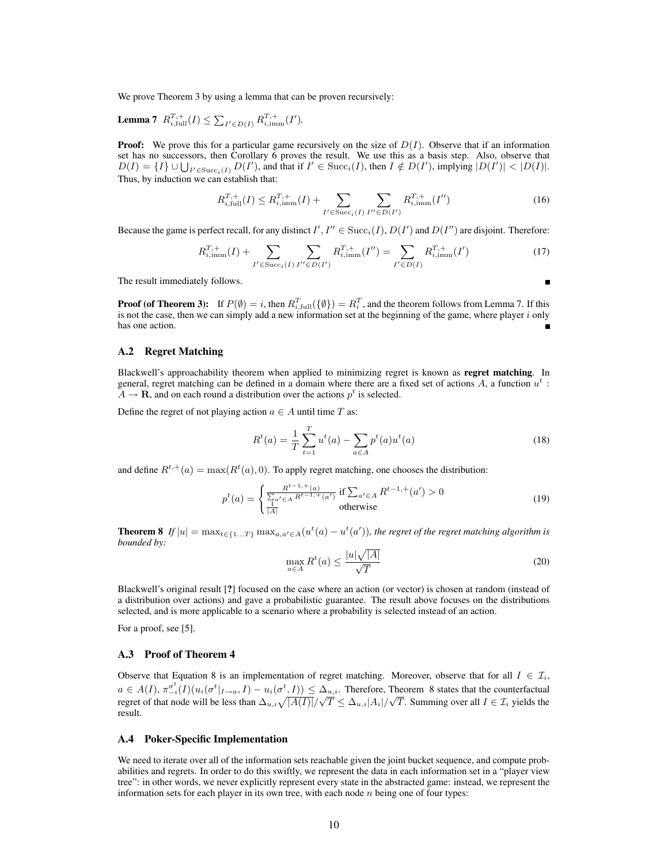We prove Theorem 3 by using a lemma that can be proven recursively:

**Lemma 7** 
$$
R_{i,\text{full}}^{T,+}(I) \le \sum_{I' \in D(I)} R_{i,\text{imm}}^{T,+}(I').
$$

**Proof:** We prove this for a particular game recursively on the size of  $D(I)$ . Observe that if an information set has no successors, then Corollary 6 proves the result. We use this as a basis step. Also, observe that  $D(I) = \{I\} \cup \bigcup_{I' \in \text{Succ}_i(I)} D(I'),$  and that if  $I' \in \text{Succ}_i(I)$ , then  $I \notin D(I')$ , implying  $|D(I')| < |D(I)|$ . Thus, by induction we can establish that:

$$
R_{i,\text{full}}^{T,+}(I) \le R_{i,\text{imm}}^{T,+}(I) + \sum_{I' \in \text{Succ}_i(I)} \sum_{I'' \in D(I')} R_{i,\text{imm}}^{T,+}(I'')
$$
(16)

Because the game is perfect recall, for any distinct  $I', I'' \in \text{Succ}_i(I), D(I')$  and  $D(I'')$  are disjoint. Therefore:

$$
R_{i,\text{imm}}^{T,+}(I) + \sum_{I' \in \text{Succ}_i(I)} \sum_{I'' \in D(I')} R_{i,\text{imm}}^{T,+}(I'') = \sum_{I' \in D(I)} R_{i,\text{imm}}^{T,+}(I') \tag{17}
$$

Ē

The result immediately follows.

**Proof (of Theorem 3):** If  $P(\emptyset) = i$ , then  $R_{i, \text{full}}^T(\{\emptyset\}) = R_i^T$ , and the theorem follows from Lemma 7. If this is not the case, then we can simply add a new information set at the beginning of the game, where player  $i$  only has one action.

#### A.2 Regret Matching

Blackwell's approachability theorem when applied to minimizing regret is known as regret matching. In general, regret matching can be defined in a domain where there are a fixed set of actions  $A$ , a function  $u^t$ :  $A \rightarrow \mathbf{R}$ , and on each round a distribution over the actions  $p^t$  is selected.

Define the regret of not playing action  $a \in A$  until time T as:

$$
R^{t}(a) = \frac{1}{T} \sum_{t=1}^{T} u^{t}(a) - \sum_{a \in A} p^{t}(a) u^{t}(a)
$$
\n(18)

and define  $R^{t,+}(a) = \max(R^t(a), 0)$ . To apply regret matching, one chooses the distribution:

$$
p^{t}(a) = \begin{cases} \frac{R^{t-1,+}(a)}{\sum_{a' \in A} R^{t-1,+}(a')} & \text{if } \sum_{a' \in A} R^{t-1,+}(a') > 0\\ \frac{1}{|A|} & \text{otherwise} \end{cases}
$$
(19)

**Theorem 8** If  $|u| = \max_{t \in \{1...T\}} \max_{a,a' \in A} (u^t(a) - u^t(a'))$ , the regret of the regret matching algorithm is *bounded by:*

$$
\max_{a \in A} R^t(a) \le \frac{|u|\sqrt{|A|}}{\sqrt{T}}\tag{20}
$$

Blackwell's original result [?] focused on the case where an action (or vector) is chosen at random (instead of a distribution over actions) and gave a probabilistic guarantee. The result above focuses on the distributions selected, and is more applicable to a scenario where a probability is selected instead of an action.

For a proof, see [5].

## A.3 Proof of Theorem 4

Observe that Equation 8 is an implementation of regret matching. Moreover, observe that for all  $I \in \mathcal{I}_i$ ,  $a \in A(I), \pi_{-i}^{\sigma^t}(I)(u_i(\sigma^t|_{I\to a}, I) - u_i(\sigma^t, I)) \leq \Delta_{u,i}$ . Therefore, Theorem 8 states that the counterfactual regret of that node will be less than  $\Delta_{u,i}\sqrt{|A(I)|}/\sqrt{T} \leq \Delta_{u,i}|A_i|/\sqrt{T}$ . Summing over all  $I \in \mathcal{I}_i$  yields the result.

#### A.4 Poker-Specific Implementation

We need to iterate over all of the information sets reachable given the joint bucket sequence, and compute probabilities and regrets. In order to do this swiftly, we represent the data in each information set in a "player view tree": in other words, we never explicitly represent every state in the abstracted game: instead, we represent the information sets for each player in its own tree, with each node  $n$  being one of four types: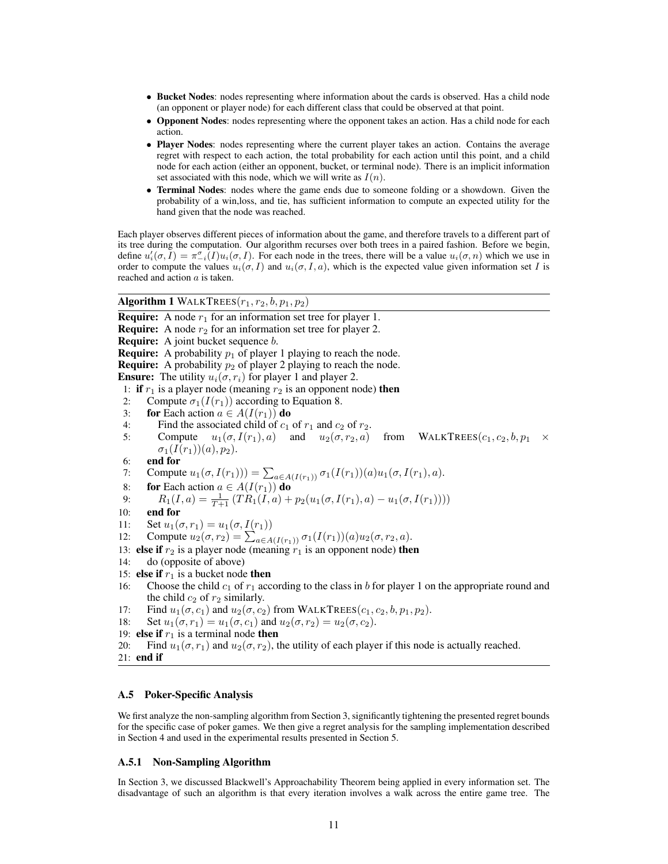- Bucket Nodes: nodes representing where information about the cards is observed. Has a child node (an opponent or player node) for each different class that could be observed at that point.
- Opponent Nodes: nodes representing where the opponent takes an action. Has a child node for each action.
- Player Nodes: nodes representing where the current player takes an action. Contains the average regret with respect to each action, the total probability for each action until this point, and a child node for each action (either an opponent, bucket, or terminal node). There is an implicit information set associated with this node, which we will write as  $I(n)$ .
- Terminal Nodes: nodes where the game ends due to someone folding or a showdown. Given the probability of a win,loss, and tie, has sufficient information to compute an expected utility for the hand given that the node was reached.

Each player observes different pieces of information about the game, and therefore travels to a different part of its tree during the computation. Our algorithm recurses over both trees in a paired fashion. Before we begin, define  $u'_i(\sigma, \tilde{I}) = \pi_{-i}^{\sigma}(\tilde{I})u_i(\sigma, I)$ . For each node in the trees, there will be a value  $u_i(\sigma, n)$  which we use in order to compute the values  $u_i(\sigma, I)$  and  $u_i(\sigma, I, a)$ , which is the expected value given information set I is reached and action a is taken.

# Algorithm 1 WALKTREES $(r_1, r_2, b, p_1, p_2)$

**Require:** A node  $r_1$  for an information set tree for player 1. **Require:** A node  $r_2$  for an information set tree for player 2. **Require:** A joint bucket sequence *b*. **Require:** A probability  $p_1$  of player 1 playing to reach the node. **Require:** A probability  $p_2$  of player 2 playing to reach the node. **Ensure:** The utility  $u_i(\sigma, r_i)$  for player 1 and player 2. 1: if  $r_1$  is a player node (meaning  $r_2$  is an opponent node) then 2: Compute  $\sigma_1(I(r_1))$  according to Equation 8.<br>3: **for** Each action  $a \in A(I(r_1))$  **do** 3: **for** Each action  $a \in A(I(r_1))$  **do**<br>4: Find the associated child of  $c_1$ 4: Find the associated child of  $c_1$  of  $r_1$  and  $c_2$  of  $r_2$ .<br>5: Compute  $u_1(\sigma, I(r_1), a)$  and  $u_2(\sigma, r_2, a)$ Compute  $u_1(\sigma, I(r_1), a)$  and  $u_2(\sigma, r_2, a)$  from WALKTREES( $c_1, c_2, b, p_1 \times p_2$  $\sigma_1(I(r_1))(a), p_2).$ 6: end for 7: Compute  $u_1(\sigma, I(r_1))) = \sum_{a \in A(I(r_1))} \sigma_1(I(r_1))(a)u_1(\sigma, I(r_1), a)$ . 8: **for** Each action  $a \in A(I(r_1))$  do 9:  $R_1(I, a) = \frac{1}{T+1} \left( TR_1(I, a) + p_2(u_1(\sigma, I(r_1), a) - u_1(\sigma, I(r_1))) \right)$ 10: end for 11: Set  $u_1(\sigma, r_1) = u_1(\sigma, I(r_1))$ 12: Compute  $u_2(\sigma, r_2) = \sum_{a \in A(I(r_1))} \sigma_1(I(r_1))(a)u_2(\sigma, r_2, a)$ . 13: else if  $r_2$  is a player node (meaning  $r_1$  is an opponent node) then 14: do (opposite of above) 15: **else if**  $r_1$  is a bucket node **then** 16: Choose the child  $c_1$  of  $r_1$  according to the class in b for player 1 on the appropriate round and the child  $c_2$  of  $r_2$  similarly. 17: Find  $u_1(\sigma, c_1)$  and  $u_2(\sigma, c_2)$  from WALKTREES $(c_1, c_2, b, p_1, p_2)$ . 18: Set  $u_1(\sigma, r_1) = u_1(\sigma, c_1)$  and  $u_2(\sigma, r_2) = u_2(\sigma, c_2)$ . 19: **else if**  $r_1$  is a terminal node **then** 20: Find  $u_1(\sigma, r_1)$  and  $u_2(\sigma, r_2)$ , the utility of each player if this node is actually reached.

```
21: end if
```
## A.5 Poker-Specific Analysis

We first analyze the non-sampling algorithm from Section 3, significantly tightening the presented regret bounds for the specific case of poker games. We then give a regret analysis for the sampling implementation described in Section 4 and used in the experimental results presented in Section 5.

## A.5.1 Non-Sampling Algorithm

In Section 3, we discussed Blackwell's Approachability Theorem being applied in every information set. The disadvantage of such an algorithm is that every iteration involves a walk across the entire game tree. The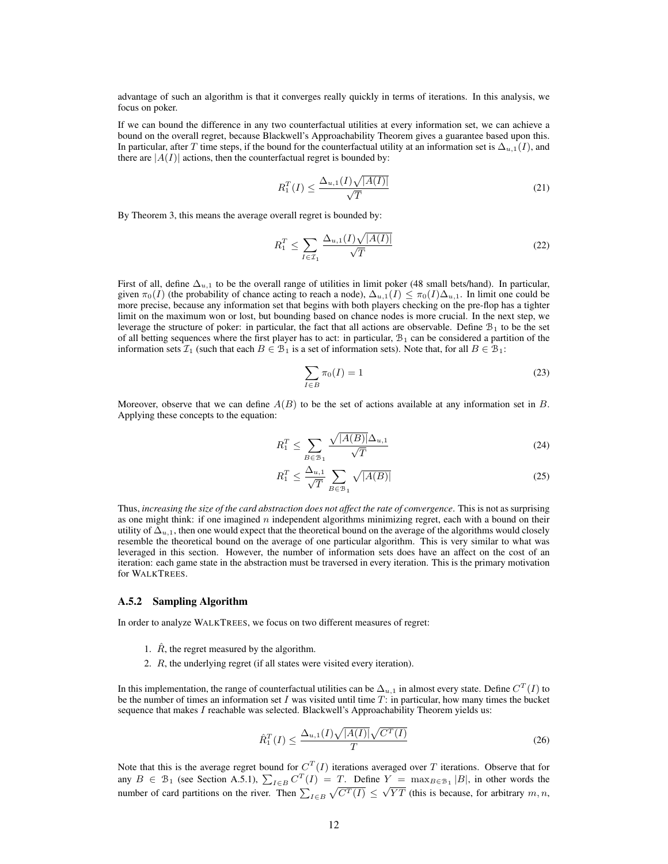advantage of such an algorithm is that it converges really quickly in terms of iterations. In this analysis, we focus on poker.

If we can bound the difference in any two counterfactual utilities at every information set, we can achieve a bound on the overall regret, because Blackwell's Approachability Theorem gives a guarantee based upon this. In particular, after T time steps, if the bound for the counterfactual utility at an information set is  $\Delta_{u,1}(I)$ , and there are  $|A(I)|$  actions, then the counterfactual regret is bounded by:

$$
R_1^T(I) \le \frac{\Delta_{u,1}(I)\sqrt{|A(I)|}}{\sqrt{T}}\tag{21}
$$

By Theorem 3, this means the average overall regret is bounded by:

$$
R_1^T \le \sum_{I \in \mathcal{I}_1} \frac{\Delta_{u,1}(I)\sqrt{|A(I)|}}{\sqrt{T}} \tag{22}
$$

First of all, define  $\Delta_{u,1}$  to be the overall range of utilities in limit poker (48 small bets/hand). In particular, given  $\pi_0(I)$  (the probability of chance acting to reach a node),  $\Delta_{u,1}(I) \leq \pi_0(I)\Delta_{u,1}$ . In limit one could be more precise, because any information set that begins with both players checking on the pre-flop has a tighter limit on the maximum won or lost, but bounding based on chance nodes is more crucial. In the next step, we leverage the structure of poker: in particular, the fact that all actions are observable. Define  $B_1$  to be the set of all betting sequences where the first player has to act: in particular,  $B_1$  can be considered a partition of the information sets  $\mathcal{I}_1$  (such that each  $B \in \mathcal{B}_1$  is a set of information sets). Note that, for all  $B \in \mathcal{B}_1$ :

$$
\sum_{I \in B} \pi_0(I) = 1 \tag{23}
$$

Moreover, observe that we can define  $A(B)$  to be the set of actions available at any information set in B. Applying these concepts to the equation:

$$
R_1^T \le \sum_{B \in \mathcal{B}_1} \frac{\sqrt{|A(B)|} \Delta_{u,1}}{\sqrt{T}} \tag{24}
$$

$$
R_1^T \le \frac{\Delta_{u,1}}{\sqrt{T}} \sum_{B \in \mathcal{B}_1} \sqrt{|A(B)|} \tag{25}
$$

Thus, *increasing the size of the card abstraction does not affect the rate of convergence*. This is not as surprising as one might think: if one imagined  $n$  independent algorithms minimizing regret, each with a bound on their utility of  $\Delta_{u,1}$ , then one would expect that the theoretical bound on the average of the algorithms would closely resemble the theoretical bound on the average of one particular algorithm. This is very similar to what was leveraged in this section. However, the number of information sets does have an affect on the cost of an iteration: each game state in the abstraction must be traversed in every iteration. This is the primary motivation for WALKTREES.

#### A.5.2 Sampling Algorithm

In order to analyze WALKTREES, we focus on two different measures of regret:

- 1.  $\hat{R}$ , the regret measured by the algorithm.
- 2. R, the underlying regret (if all states were visited every iteration).

In this implementation, the range of counterfactual utilities can be  $\Delta_{u,1}$  in almost every state. Define  $C^T(I)$  to be the number of times an information set I was visited until time  $T$ : in particular, how many times the bucket sequence that makes I reachable was selected. Blackwell's Approachability Theorem yields us:

$$
\hat{R}_1^T(I) \le \frac{\Delta_{u,1}(I)\sqrt{|A(I)|}\sqrt{C^T(I)}}{T} \tag{26}
$$

Note that this is the average regret bound for  $C^{T}(I)$  iterations averaged over T iterations. Observe that for any  $B \in \mathcal{B}_1$  (see Section A.5.1),  $\sum_{I \in B} C^T(I) = T$ . Define  $Y = \max_{B \in \mathcal{B}_1} |B|$ , in other words the number of card partitions on the river. Then  $\sum_{I \in B} \sqrt{C^T(I)} \leq \sqrt{YT}$  (this is because, for arbitrary m, n,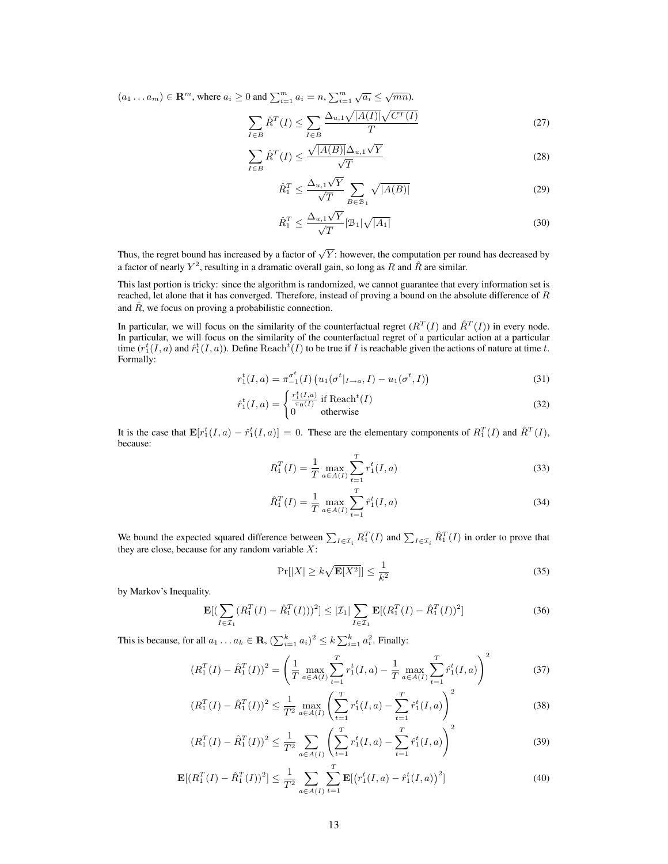$(a_1 \dots a_m) \in \mathbf{R}^m$ , where  $a_i \geq 0$  and  $\sum_{i=1}^m a_i = n, \sum_{i=1}^m$  $\sqrt{a_i} \leq \sqrt{mn}$ ).

$$
\sum_{I \in B} \hat{R}^T(I) \le \sum_{I \in B} \frac{\Delta_{u,1} \sqrt{|A(I)|} \sqrt{C^T(I)}}{T}
$$
\n(27)

$$
\sum_{I \in B} \hat{R}^T(I) \le \frac{\sqrt{|A(B)|} \Delta_{u,1} \sqrt{Y}}{\sqrt{T}} \tag{28}
$$

$$
\hat{R}_1^T \le \frac{\Delta_{u,1}\sqrt{Y}}{\sqrt{T}} \sum_{B \in \mathcal{B}_1} \sqrt{|A(B)|} \tag{29}
$$

$$
\hat{R}_1^T \le \frac{\Delta_{u,1}\sqrt{Y}}{\sqrt{T}} |B_1|\sqrt{|A_1|} \tag{30}
$$

Thus, the regret bound has increased by a factor of  $\sqrt{Y}$ : however, the computation per round has decreased by a factor of nearly  $Y^2$ , resulting in a dramatic overall gain, so long as R and  $\hat{R}$  are similar.

This last portion is tricky: since the algorithm is randomized, we cannot guarantee that every information set is reached, let alone that it has converged. Therefore, instead of proving a bound on the absolute difference of R and  $\hat{R}$ , we focus on proving a probabilistic connection.

In particular, we will focus on the similarity of the counterfactual regret  $(R^T(I)$  and  $\hat{R}^T(I)$ ) in every node. In particular, we will focus on the similarity of the counterfactual regret of a particular action at a particular time  $(r_1^t(I, a)$  and  $\hat{r}_1^t(I, a)$ ). Define Reach $^t(I)$  to be true if I is reachable given the actions of nature at time t. Formally:

$$
r_1^t(I,a) = \pi_{-1}^{\sigma_t^t}(I) \left( u_1(\sigma^t |_{I \to a}, I) - u_1(\sigma^t, I) \right)
$$
\n(31)

$$
\hat{r}_1^t(I,a) = \begin{cases} \frac{r_1^t(I,a)}{\pi_0(I)} & \text{if } \text{Reach}^t(I) \\ 0 & \text{otherwise} \end{cases}
$$
 (32)

It is the case that  $\mathbf{E}[r_1^t(I,a) - \hat{r}_1^t(I,a)] = 0$ . These are the elementary components of  $R_1^T(I)$  and  $\hat{R}_1^T(I)$ , because:

$$
R_1^T(I) = \frac{1}{T} \max_{a \in A(I)} \sum_{t=1}^T r_1^t(I, a)
$$
\n(33)

$$
\hat{R}_1^T(I) = \frac{1}{T} \max_{a \in A(I)} \sum_{t=1}^T \hat{r}_1^t(I, a)
$$
\n(34)

We bound the expected squared difference between  $\sum_{I \in \mathcal{I}_i} R_1^T(I)$  and  $\sum_{I \in \mathcal{I}_i} \hat{R}_1^T(I)$  in order to prove that they are close, because for any random variable  $X$ :

$$
\Pr[|X| \ge k\sqrt{\mathbf{E}[X^2]}] \le \frac{1}{k^2} \tag{35}
$$

by Markov's Inequality.

$$
\mathbf{E}[(\sum_{I \in \mathcal{I}_1} (R_1^T(I) - \hat{R}_1^T(I)))^2] \leq |\mathcal{I}_1| \sum_{I \in \mathcal{I}_1} \mathbf{E}[(R_1^T(I) - \hat{R}_1^T(I))^2]
$$
(36)

This is because, for all  $a_1 \dots a_k \in \mathbf{R}$ ,  $(\sum_{i=1}^k a_i)^2 \le k \sum_{i=1}^k a_i^2$ . Finally:

$$
\left(R_1^T(I) - \hat{R}_1^T(I)\right)^2 = \left(\frac{1}{T} \max_{a \in A(I)} \sum_{t=1}^T r_1^t(I, a) - \frac{1}{T} \max_{a \in A(I)} \sum_{t=1}^T \hat{r}_1^t(I, a)\right)^2 \tag{37}
$$

$$
\left(R_1^T(I) - \hat{R}_1^T(I)\right)^2 \le \frac{1}{T^2} \max_{a \in A(I)} \left(\sum_{t=1}^T r_1^t(I,a) - \sum_{t=1}^T \hat{r}_1^t(I,a)\right)^2 \tag{38}
$$

$$
\left(R_1^T(I) - \hat{R}_1^T(I)\right)^2 \le \frac{1}{T^2} \sum_{a \in A(I)} \left(\sum_{t=1}^T r_1^t(I,a) - \sum_{t=1}^T \hat{r}_1^t(I,a)\right)^2 \tag{39}
$$

$$
\mathbf{E}[(R_1^T(I) - \hat{R}_1^T(I))^2] \le \frac{1}{T^2} \sum_{a \in A(I)} \sum_{t=1}^T \mathbf{E}[(r_1^t(I, a) - \hat{r}_1^t(I, a))^2]
$$
(40)